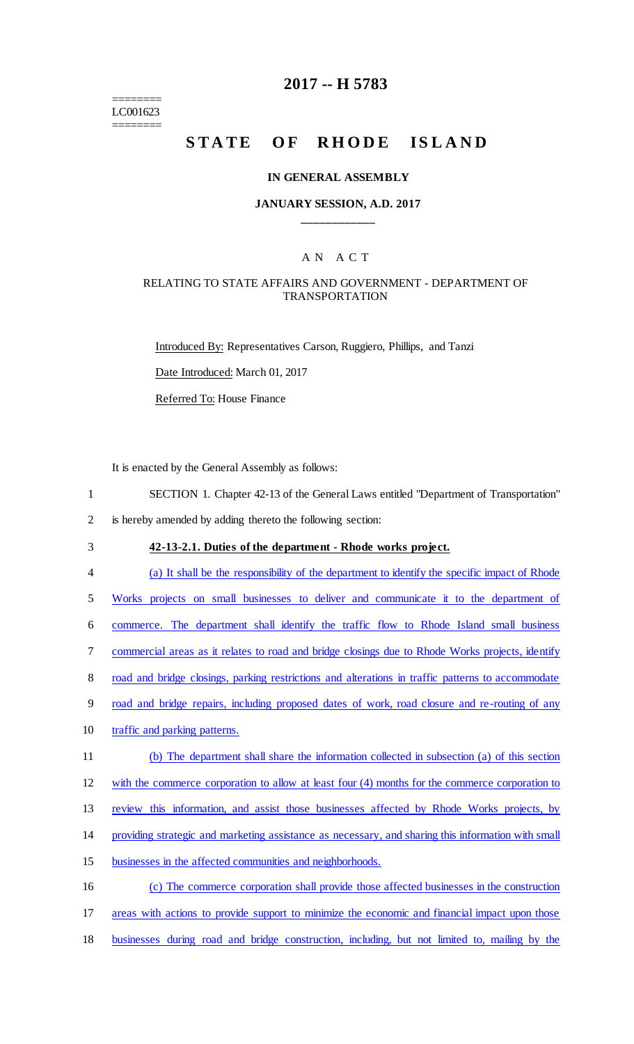======== LC001623 ========

### **2017 -- H 5783**

# STATE OF RHODE ISLAND

#### **IN GENERAL ASSEMBLY**

### **JANUARY SESSION, A.D. 2017 \_\_\_\_\_\_\_\_\_\_\_\_**

### A N A C T

### RELATING TO STATE AFFAIRS AND GOVERNMENT - DEPARTMENT OF TRANSPORTATION

Introduced By: Representatives Carson, Ruggiero, Phillips, and Tanzi Date Introduced: March 01, 2017 Referred To: House Finance

It is enacted by the General Assembly as follows:

- 1 SECTION 1. Chapter 42-13 of the General Laws entitled "Department of Transportation"
- 2 is hereby amended by adding thereto the following section:
	-

### 3 **42-13-2.1. Duties of the department - Rhode works project.**

4 (a) It shall be the responsibility of the department to identify the specific impact of Rhode

5 Works projects on small businesses to deliver and communicate it to the department of

6 commerce. The department shall identify the traffic flow to Rhode Island small business

7 commercial areas as it relates to road and bridge closings due to Rhode Works projects, identify

8 road and bridge closings, parking restrictions and alterations in traffic patterns to accommodate

- 9 road and bridge repairs, including proposed dates of work, road closure and re-routing of any
- 10 traffic and parking patterns.
- 11 (b) The department shall share the information collected in subsection (a) of this section

12 with the commerce corporation to allow at least four (4) months for the commerce corporation to

13 review this information, and assist those businesses affected by Rhode Works projects, by

- 14 providing strategic and marketing assistance as necessary, and sharing this information with small
- 15 businesses in the affected communities and neighborhoods.
- 16 (c) The commerce corporation shall provide those affected businesses in the construction
- 17 areas with actions to provide support to minimize the economic and financial impact upon those
- 18 businesses during road and bridge construction, including, but not limited to, mailing by the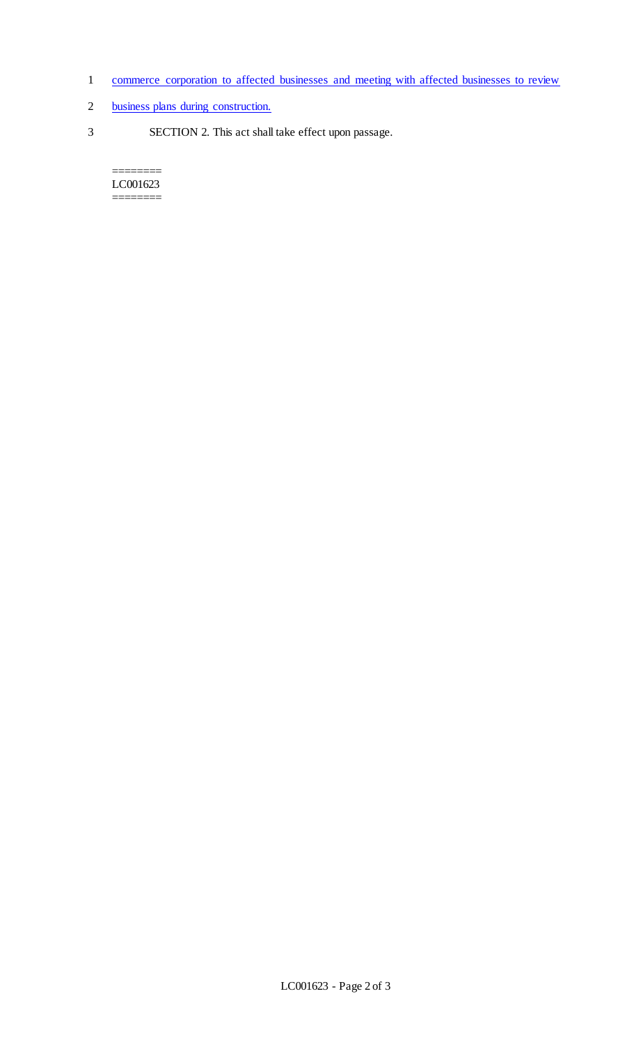- 1 commerce corporation to affected businesses and meeting with affected businesses to review
- 2 business plans during construction.
- 3 SECTION 2. This act shall take effect upon passage.

======== LC001623  $=$